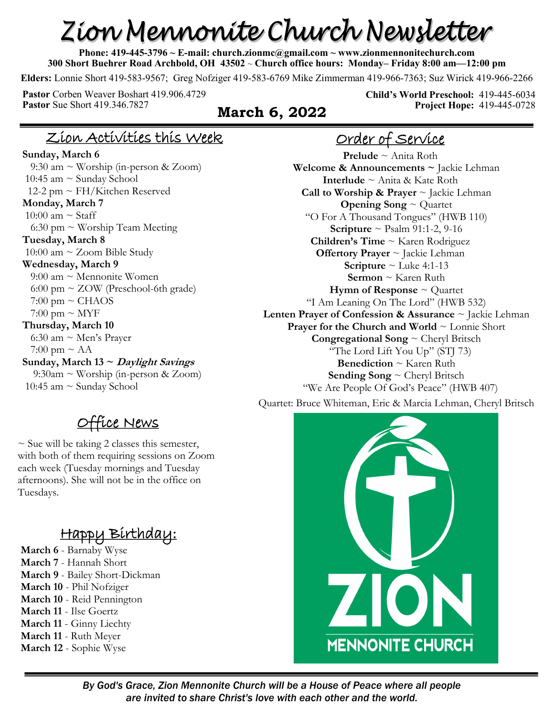# Zion Mennonite Church Newsletter

**Phone: 419-445-3796 ~ E-mail: church.zionmc@gmail.com ~ www.zionmennonitechurch.com 300 Short Buehrer Road Archbold, OH 43502** ~ **Church office hours: Monday– Friday 8:00 am—12:00 pm** 

**Elders:** Lonnie Short 419-583-9567; Greg Nofziger 419-583-6769 Mike Zimmerman 419-966-7363; Suz Wirick 419-966-2266

Pastor Corben Weaver Boshart 419.906.4729<br>Pastor Sue Short 419.346.7827

#### **March 6, 2022**

**Child's World Preschool:** 419-445-6034 **Project Hope:** 419-445-0728

#### Zion Activities this Week

**Sunday, March 6** 9:30 am ~ Worship (in-person & Zoom) 10:45 am ~ Sunday School 12-2 pm ~ FH/Kitchen Reserved **Monday, March 7** 10:00 am  $\sim$  Staff 6:30 pm  $\sim$  Worship Team Meeting **Tuesday, March 8** 10:00 am  $\sim$  Zoom Bible Study **Wednesday, March 9** 9:00 am ~ Mennonite Women 6:00 pm ~ ZOW (Preschool-6th grade)  $7:00 \text{ pm} \sim \text{CHAOS}$  $7:00 \text{ pm} \sim \text{MYF}$ **Thursday, March 10** 6:30 am ~ Men's Prayer 7:00 pm  $\sim$  AA **Sunday, March 13 ~ Daylight Savings** 9:30am ~ Worship (in-person & Zoom) 10:45 am ~ Sunday School

### Office News

 $\sim$  Sue will be taking 2 classes this semester, with both of them requiring sessions on Zoom each week (Tuesday mornings and Tuesday afternoons). She will not be in the office on Tuesdays.

## Happy Birthday:

**March 6** - Barnaby Wyse **March 7** - Hannah Short **March 9** - Bailey Short-Dickman **March 10** - Phil Nofziger **March 10** - Reid Pennington **March 11** - Ilse Goertz **March 11** - Ginny Liechty

**March 11** - Ruth Meyer **March 12** - Sophie Wyse

## Order of Service

**Prelude** ~ Anita Roth **Welcome & Announcements ~** Jackie Lehman **Interlude** ~ Anita & Kate Roth **Call to Worship & Prayer** ~ Jackie Lehman **Opening Song** ~ Quartet "O For A Thousand Tongues" (HWB 110) **Scripture** ~ Psalm 91:1-2, 9-16 **Children's Time** ~ Karen Rodriguez **Offertory Prayer** ~ Jackie Lehman **Scripture** ~ Luke 4:1-13 **Sermon** ~ Karen Ruth **Hymn of Response**  $\sim$  Quartet "I Am Leaning On The Lord" (HWB 532) **Lenten Prayer of Confession & Assurance** ~ Jackie Lehman **Prayer for the Church and World** ~ Lonnie Short **Congregational Song** ~ Cheryl Britsch "The Lord Lift You Up" (STJ 73) **Benediction** ~ Karen Ruth **Sending Song** ~ Cheryl Britsch "We Are People Of God's Peace" (HWB 407) Quartet: Bruce Whiteman, Eric & Marcia Lehman, Cheryl Britsch



*By God's Grace, Zion Mennonite Church will be a House of Peace where all people are invited to share Christ's love with each other and the world.*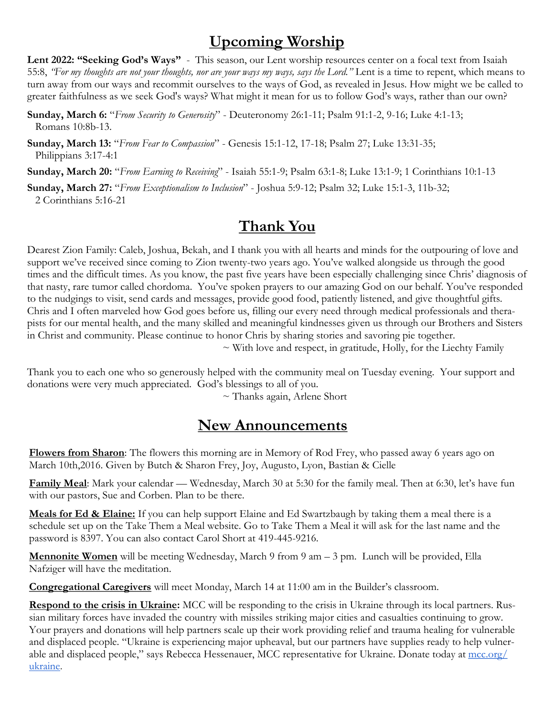## **Upcoming Worship**

Lent 2022: "Seeking God's Ways" - This season, our Lent worship resources center on a focal text from Isaiah 55:8, *"For my thoughts are not your thoughts, nor are your ways my ways, says the Lord."* Lent is a time to repent, which means to turn away from our ways and recommit ourselves to the ways of God, as revealed in Jesus. How might we be called to greater faithfulness as we seek God's ways? What might it mean for us to follow God's ways, rather than our own?

**Sunday, March 6:** "*From Security to Generosity*" - Deuteronomy 26:1-11; Psalm 91:1-2, 9-16; Luke 4:1-13; Romans 10:8b-13.

**Sunday, March 13:** "*From Fear to Compassion*" - Genesis 15:1-12, 17-18; Psalm 27; Luke 13:31-35; Philippians 3:17-4:1

**Sunday, March 20:** "*From Earning to Receiving*" - Isaiah 55:1-9; Psalm 63:1-8; Luke 13:1-9; 1 Corinthians 10:1-13

**Sunday, March 27:** "*From Exceptionalism to Inclusion*" - Joshua 5:9-12; Psalm 32; Luke 15:1-3, 11b-32; 2 Corinthians 5:16-21

## **Thank You**

Dearest Zion Family: Caleb, Joshua, Bekah, and I thank you with all hearts and minds for the outpouring of love and support we've received since coming to Zion twenty-two years ago. You've walked alongside us through the good times and the difficult times. As you know, the past five years have been especially challenging since Chris' diagnosis of that nasty, rare tumor called chordoma. You've spoken prayers to our amazing God on our behalf. You've responded to the nudgings to visit, send cards and messages, provide good food, patiently listened, and give thoughtful gifts. Chris and I often marveled how God goes before us, filling our every need through medical professionals and therapists for our mental health, and the many skilled and meaningful kindnesses given us through our Brothers and Sisters in Christ and community. Please continue to honor Chris by sharing stories and savoring pie together.

 $\sim$  With love and respect, in gratitude, Holly, for the Liechty Family

Thank you to each one who so generously helped with the community meal on Tuesday evening. Your support and donations were very much appreciated. God's blessings to all of you.

 $\sim$  Thanks again, Arlene Short

## **New Announcements**

**Flowers from Sharon**: The flowers this morning are in Memory of Rod Frey, who passed away 6 years ago on March 10th,2016. Given by Butch & Sharon Frey, Joy, Augusto, Lyon, Bastian & Cielle

**Family Meal**: Mark your calendar — Wednesday, March 30 at 5:30 for the family meal. Then at 6:30, let's have fun with our pastors, Sue and Corben. Plan to be there.

**Meals for Ed & Elaine:** If you can help support Elaine and Ed Swartzbaugh by taking them a meal there is a schedule set up on the Take Them a Meal website. Go to Take Them a Meal it will ask for the last name and the password is 8397. You can also contact Carol Short at 419-445-9216.

**Mennonite Women** will be meeting Wednesday, March 9 from 9 am – 3 pm. Lunch will be provided, Ella Nafziger will have the meditation.

**Congregational Caregivers** will meet Monday, March 14 at 11:00 am in the Builder's classroom.

**Respond to the crisis in Ukraine:** MCC will be responding to the crisis in Ukraine through its local partners. Russian military forces have invaded the country with missiles striking major cities and casualties continuing to grow. Your prayers and donations will help partners scale up their work providing relief and trauma healing for vulnerable and displaced people. "Ukraine is experiencing major upheaval, but our partners have supplies ready to help vulnerable and displaced people," says Rebecca Hessenauer, MCC representative for Ukraine. Donate today at [mcc.org/](https://donate.mcc.org/cause/ukraine-emergency-response) [ukraine.](https://donate.mcc.org/cause/ukraine-emergency-response)